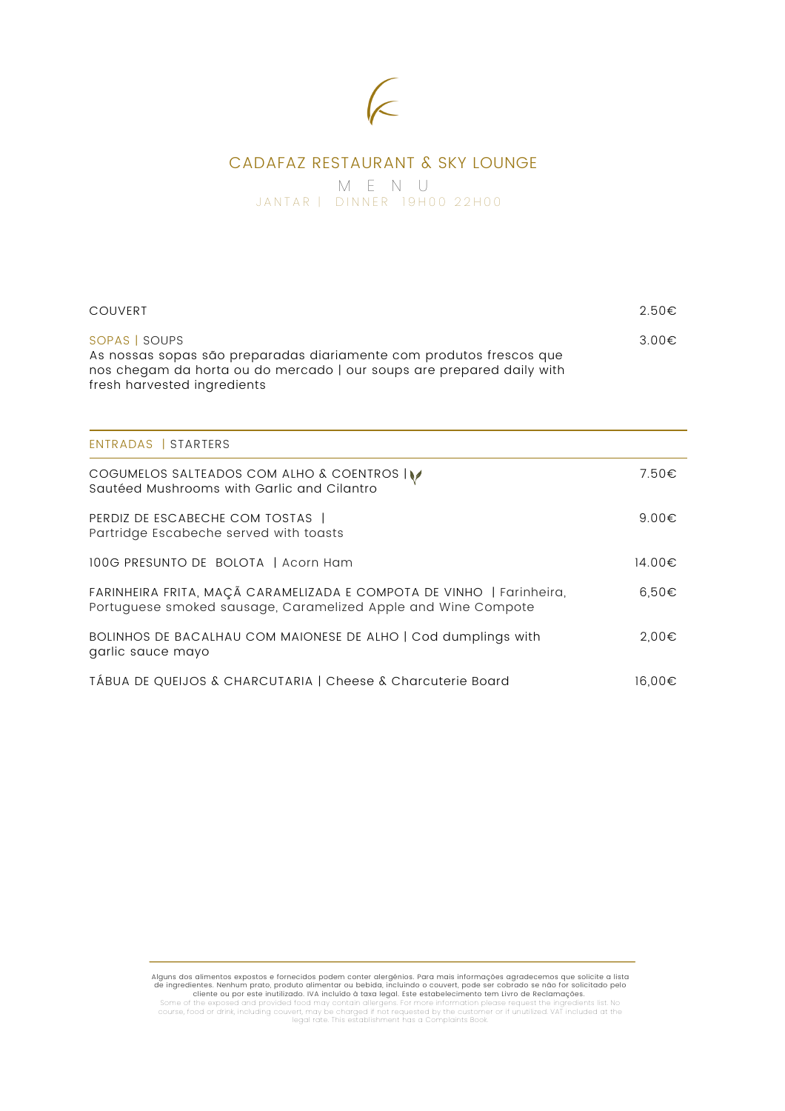## $\overline{\mathbb{C}}$

## CADAFAZ RESTAURANT & SKY LOUNGE

M E N U JANTAR | DINNER 19H00 22H00

| <b>COUVERT</b>                                                                                                                                                                               | $2.50 \in$ |
|----------------------------------------------------------------------------------------------------------------------------------------------------------------------------------------------|------------|
| SOPAS   SOUPS<br>As nossas sopas são preparadas diariamente com produtos frescos que<br>nos chegam da horta ou do mercado   our soups are prepared daily with<br>fresh harvested ingredients | $3.00 \in$ |
| ENTRADAS   STARTERS                                                                                                                                                                          |            |
| COGUMELOS SALTEADOS COM ALHO & COENTROS IV<br>Sautéed Mushrooms with Garlic and Cilantro                                                                                                     | 7.50€      |
| PERDIZ DE ESCABECHE COM TOSTAS  <br>Partridge Escabeche served with toasts                                                                                                                   | $9.00 \in$ |
| 100G PRESUNTO DE BOLOTA   Acorn Ham                                                                                                                                                          | 14.00€     |
| FARINHEIRA FRITA, MAÇÃ CARAMELIZADA E COMPOTA DE VINHO   Farinheira,<br>Portuguese smoked sausage, Caramelized Apple and Wine Compote                                                        | $6,50 \in$ |
| BOLINHOS DE BACALHAU COM MAIONESE DE ALHO   Cod dumplings with<br>garlic sauce mayo                                                                                                          | 2,00€      |
| TÁBUA DE QUEIJOS & CHARCUTARIA   Cheese & Charcuterie Board                                                                                                                                  | 16,00€     |

Alguns dos alimentos expostos e fornecidos podem conter alergênios. Para mais informações agradecemos que solicite a lista<br>de ingredientes. Nehhum prato, produto alimentar ou bebida, incluindo o couvert, pode ser cobrado s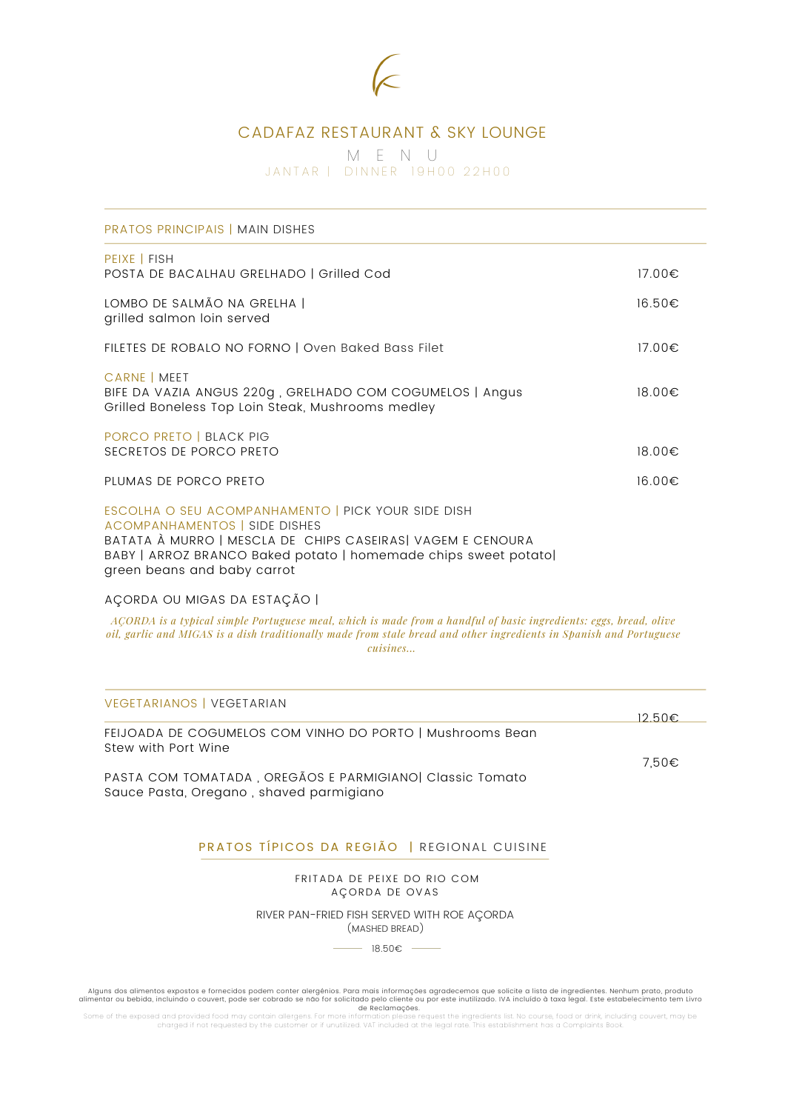

### CADAFAZ RESTAURANT & SKY LOUNGE

M E N U JANTAR | DINNER 19H00 22H00

| <b>PRATOS PRINCIPAIS   MAIN DISHES</b>                                                                                                                                                                                                                      |        |
|-------------------------------------------------------------------------------------------------------------------------------------------------------------------------------------------------------------------------------------------------------------|--------|
| PEIXE   FISH<br>POSTA DE BACALHAU GRELHADO   Grilled Cod                                                                                                                                                                                                    | 17.00€ |
| LOMBO DE SALMÃO NA GRELHA  <br>grilled salmon loin served                                                                                                                                                                                                   | 16.50€ |
| FILETES DE ROBALO NO FORNO   Oven Baked Bass Filet                                                                                                                                                                                                          | 17.00€ |
| CARNE   MEET<br>BIFE DA VAZIA ANGUS 220g, GRELHADO COM COGUMELOS   Angus<br>Grilled Boneless Top Loin Steak, Mushrooms medley                                                                                                                               | 18.00€ |
| PORCO PRETO   BLACK PIG<br>SECRETOS DE PORCO PRETO                                                                                                                                                                                                          | 18.00€ |
| PLUMAS DE PORCO PRETO                                                                                                                                                                                                                                       | 16.00€ |
| ESCOLHA O SEU ACOMPANHAMENTO   PICK YOUR SIDE DISH<br><b>ACOMPANHAMENTOS   SIDE DISHES</b><br>BATATA À MURRO   MESCLA DE CHIPS CASEIRAS  VAGEM E CENOURA<br>BABY   ARROZ BRANCO Baked potato   homemade chips sweet potato <br>green beans and baby carrot  |        |
| AÇORDA OU MIGAS DA ESTAÇÃO                                                                                                                                                                                                                                  |        |
| ACORDA is a typical simple Portuguese meal, which is made from a handful of basic ingredients: eggs, bread, olive<br>oil, garlic and MIGAS is a dish traditionally made from stale bread and other ingredients in Spanish and Portuguese<br><i>cuisines</i> |        |
| <b>VEGETARIANOS   VEGETARIAN</b>                                                                                                                                                                                                                            | 12.50€ |
| FEIJOADA DE COGUMELOS COM VINHO DO PORTO   Mushrooms Bean<br>Stew with Port Wine                                                                                                                                                                            |        |
| PASTA COM TOMATADA, OREGÃOS E PARMIGIANO Classic Tomato<br>Sauce Pasta, Oregano, shaved parmigiano                                                                                                                                                          | 7,50€  |
| PRATOS TÍPICOS DA REGIÃO   REGIONAL CUISINE                                                                                                                                                                                                                 |        |
| FRITADA DE PEIXE DO RIO COM                                                                                                                                                                                                                                 |        |

AÇORDA DE OVAS

RIVER PAN-FRIED FISH SERVED WITH ROE AÇORDA (MASHED BREAD)

 $- 18.50€$   $-$ 

Alguns dos alimentos expostos e tornecidos podem conter alergénios. Para mais informações agradecemos que solicidade pelo convert, pode ser cobrado se não for solicitado pelo cliente ou por este inutilizado. IVA incluído à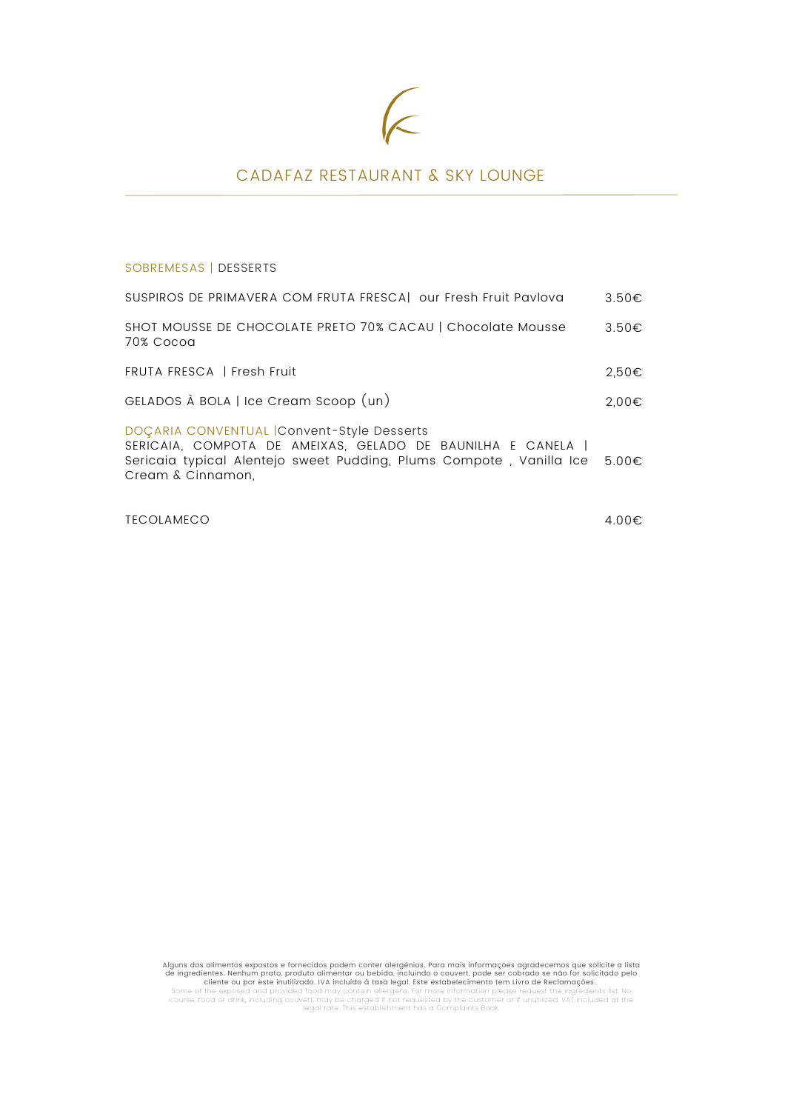# E

## CADAFAZ RESTAURANT & SKY LOUNGE

SOBREMESAS | DESSERTS

| SUSPIROS DE PRIMAVERA COM FRUTA FRESCA  our Fresh Fruit Pavlova                                                                                                                                      | $3.50 \epsilon$ |
|------------------------------------------------------------------------------------------------------------------------------------------------------------------------------------------------------|-----------------|
| SHOT MOUSSE DE CHOCOLATE PRETO 70% CACAU   Chocolate Mousse<br>70% Cocog                                                                                                                             | 3.50€           |
| FRUTA FRESCA   Fresh Fruit                                                                                                                                                                           | $2.50 \in$      |
| GELADOS À BOLA   Ice Cream Scoop (un)                                                                                                                                                                | 2,00€           |
| DOÇARIA CONVENTUAL Convent-Style Desserts<br>SERICAIA, COMPOTA DE AMEIXAS, GELADO DE BAUNILHA E CANELA  <br>Sericaia typical Alentejo sweet Pudding, Plums Compote, Vanilla Ice<br>Cream & Cinnamon. | $5.00 \in$      |

TECOLAMECO

4.00€

Alguns dos alimentos expostos e fornecidos poden conter alergênios. Para máis informações agradecemos que solicite a lista<br>de ingredientes. Nehhum prato, produto alimentar ou bebida, incluindo o couvert, pode ser cobrado s